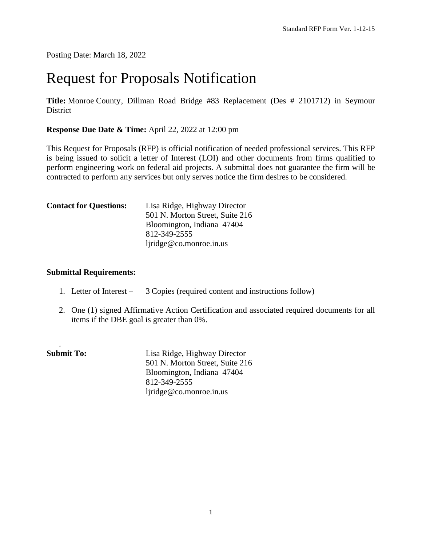Posting Date: March 18, 2022

# Request for Proposals Notification

**Title:** Monroe County, Dillman Road Bridge #83 Replacement (Des # 2101712) in Seymour **District** 

**Response Due Date & Time:** April 22, 2022 at 12:00 pm

This Request for Proposals (RFP) is official notification of needed professional services. This RFP is being issued to solicit a letter of Interest (LOI) and other documents from firms qualified to perform engineering work on federal aid projects. A submittal does not guarantee the firm will be contracted to perform any services but only serves notice the firm desires to be considered.

| <b>Contact for Questions:</b> | Lisa Ridge, Highway Director    |
|-------------------------------|---------------------------------|
|                               | 501 N. Morton Street, Suite 216 |
|                               | Bloomington, Indiana 47404      |
|                               | 812-349-2555                    |
|                               | ljridge@co.monroe.in.us         |

#### **Submittal Requirements:**

- 1. Letter of Interest 3 Copies (required content and instructions follow)
- 2. One (1) signed Affirmative Action Certification and associated required documents for all items if the DBE goal is greater than 0%.

| <b>Submit To:</b> | Lisa Ridge, Highway Director    |
|-------------------|---------------------------------|
|                   | 501 N. Morton Street, Suite 216 |
|                   | Bloomington, Indiana 47404      |
|                   | 812-349-2555                    |
|                   | ljridge@co.monroe.in.us         |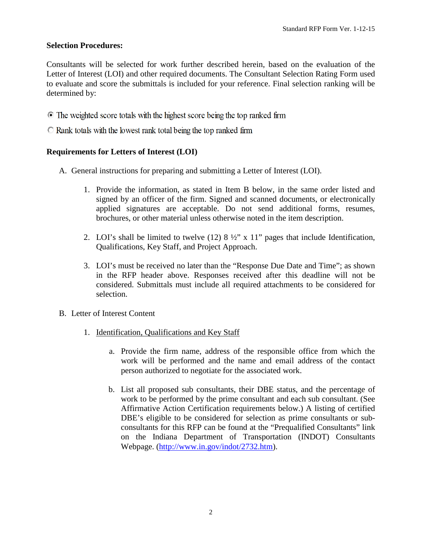#### **Selection Procedures:**

Consultants will be selected for work further described herein, based on the evaluation of the Letter of Interest (LOI) and other required documents. The Consultant Selection Rating Form used to evaluate and score the submittals is included for your reference. Final selection ranking will be determined by:

- The weighted score totals with the highest score being the top ranked firm
- $\bullet$  Rank totals with the lowest rank total being the top ranked firm

#### **Requirements for Letters of Interest (LOI)**

- A. General instructions for preparing and submitting a Letter of Interest (LOI).
	- 1. Provide the information, as stated in Item B below, in the same order listed and signed by an officer of the firm. Signed and scanned documents, or electronically applied signatures are acceptable. Do not send additional forms, resumes, brochures, or other material unless otherwise noted in the item description.
	- 2. LOI's shall be limited to twelve  $(12)$  8 ½" x 11" pages that include Identification, Qualifications, Key Staff, and Project Approach.
	- 3. LOI's must be received no later than the "Response Due Date and Time"; as shown in the RFP header above. Responses received after this deadline will not be considered. Submittals must include all required attachments to be considered for selection.
- B. Letter of Interest Content
	- 1. Identification, Qualifications and Key Staff
		- a. Provide the firm name, address of the responsible office from which the work will be performed and the name and email address of the contact person authorized to negotiate for the associated work.
		- b. List all proposed sub consultants, their DBE status, and the percentage of work to be performed by the prime consultant and each sub consultant. (See Affirmative Action Certification requirements below.) A listing of certified DBE's eligible to be considered for selection as prime consultants or subconsultants for this RFP can be found at the "Prequalified Consultants" link on the Indiana Department of Transportation (INDOT) Consultants Webpage. [\(http://www.in.gov/indot/2732.htm\)](http://www.in.gov/indot/2732.htm).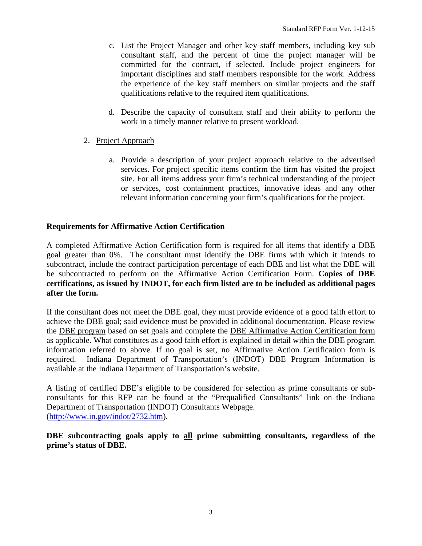- c. List the Project Manager and other key staff members, including key sub consultant staff, and the percent of time the project manager will be committed for the contract, if selected. Include project engineers for important disciplines and staff members responsible for the work. Address the experience of the key staff members on similar projects and the staff qualifications relative to the required item qualifications.
- d. Describe the capacity of consultant staff and their ability to perform the work in a timely manner relative to present workload.
- 2. Project Approach
	- a. Provide a description of your project approach relative to the advertised services. For project specific items confirm the firm has visited the project site. For all items address your firm's technical understanding of the project or services, cost containment practices, innovative ideas and any other relevant information concerning your firm's qualifications for the project.

### **Requirements for Affirmative Action Certification**

A completed Affirmative Action Certification form is required for all items that identify a DBE goal greater than 0%. The consultant must identify the DBE firms with which it intends to subcontract, include the contract participation percentage of each DBE and list what the DBE will be subcontracted to perform on the Affirmative Action Certification Form. **Copies of DBE certifications, as issued by INDOT, for each firm listed are to be included as additional pages after the form.**

If the consultant does not meet the DBE goal, they must provide evidence of a good faith effort to achieve the DBE goal; said evidence must be provided in additional documentation. Please review the DBE program based on set goals and complete the DBE Affirmative Action Certification form as applicable. What constitutes as a good faith effort is explained in detail within the DBE program information referred to above. If no goal is set, no Affirmative Action Certification form is required. Indiana Department of Transportation's (INDOT) DBE Program Information is available at the Indiana Department of Transportation's website.

A listing of certified DBE's eligible to be considered for selection as prime consultants or subconsultants for this RFP can be found at the "Prequalified Consultants" link on the Indiana Department of Transportation (INDOT) Consultants Webpage. [\(http://www.in.gov/indot/2732.htm\)](http://www.in.gov/indot/2732.htm).

**DBE subcontracting goals apply to all prime submitting consultants, regardless of the prime's status of DBE.**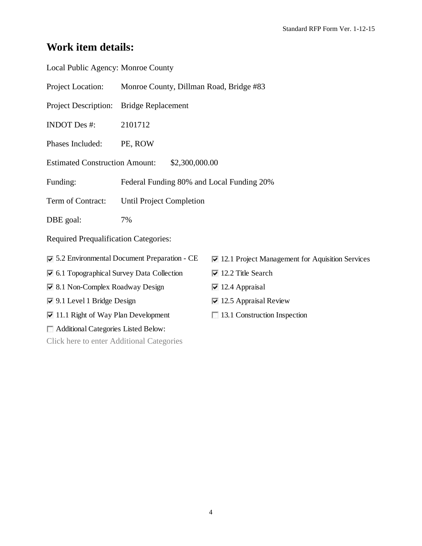## **Work item details:**

| Local Public Agency: Monroe County                                     |                                           |                                                                 |  |  |
|------------------------------------------------------------------------|-------------------------------------------|-----------------------------------------------------------------|--|--|
| Project Location:                                                      | Monroe County, Dillman Road, Bridge #83   |                                                                 |  |  |
| <b>Project Description:</b>                                            | <b>Bridge Replacement</b>                 |                                                                 |  |  |
| <b>INDOT</b> Des #:                                                    | 2101712                                   |                                                                 |  |  |
| Phases Included:                                                       | PE, ROW                                   |                                                                 |  |  |
| <b>Estimated Construction Amount:</b><br>\$2,300,000.00                |                                           |                                                                 |  |  |
| Funding:                                                               | Federal Funding 80% and Local Funding 20% |                                                                 |  |  |
| Term of Contract:                                                      | <b>Until Project Completion</b>           |                                                                 |  |  |
| DBE goal:                                                              | 7%                                        |                                                                 |  |  |
| <b>Required Prequalification Categories:</b>                           |                                           |                                                                 |  |  |
| $\overline{\triangledown}$ 5.2 Environmental Document Preparation - CE |                                           | $\triangledown$ 12.1 Project Management for Aquisition Services |  |  |
| $\triangledown$ 6.1 Topographical Survey Data Collection               |                                           | $\overline{v}$ 12.2 Title Search                                |  |  |
| ☑ 8.1 Non-Complex Roadway Design                                       |                                           | $\triangleright$ 12.4 Appraisal                                 |  |  |
| $\triangledown$ 9.1 Level 1 Bridge Design                              |                                           | $\vee$ 12.5 Appraisal Review                                    |  |  |
| $\triangleright$ 11.1 Right of Way Plan Development                    |                                           | 13.1 Construction Inspection                                    |  |  |
| Additional Categories Listed Below:                                    |                                           |                                                                 |  |  |
| Click here to enter Additional Categories                              |                                           |                                                                 |  |  |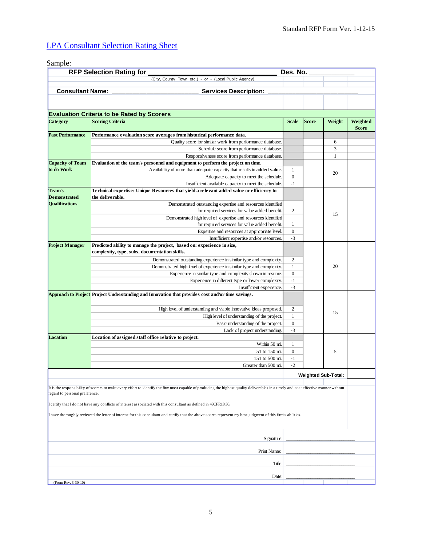### LPA [Consultant Selection Rating Sheet](http://www.in.gov/dot/div/legal/rfp/LPARFP/LPASelectionRatingSheetForm.xlsx)

#### Sample: (City, County, Town, etc.) - or - (Local Public Agency) **Evaluation Criteria to be Rated by Scorers Category Scoring Criteria Scoring Criteria Scale Scale Scale Scale Scale Scale Weight Weighted Weighted Score Performance evaluation score averages from historical performance data.** Quality score for similar work from performance database. 6 Schedule score from performance database. <br>
3 Responsiveness score from performance database. 1 **Evaluation of the team's personnel and equipment to perform the project on time.** Availability of more than adequate capacity that results in **added value**. 1 Adequate capacity to meet the schedule. 0 Insufficient available capacity to meet the schedule. -1 **Technical expertise: Unique Resources that yield a relevant added value or efficiency to the deliverable.** Demonstrated outstanding expertise and resources identified for required services for value added benefit. 2 Demonstrated high level of expertise and resources identified for required services for value added benefit Expertise and resources at appropriate level. 0 Insufficient expertise and/or resources. -3 **Predicted ability to manage the project, based on: experience in size, complexity, type, subs, documentation skills.** Demonstrated outstanding experience in similar type and complexity. 2 Demonstrated high level of experience in similar type and complexity. 1 Experience in similar type and complexity shown in resume. 0 Experience in different type or lower complexity. -1 Insufficient experience. -3 **Project Understanding and Innovation that provides cost and/or time savings. Approach to Project** High level of understanding and viable innovative ideas proposed. 2 High level of understanding of the project. 1 Basic understanding of the project. 0 Lack of project understanding. -3 **Location of assigned staff office relative to project.** Within 50 mi.  $1$ 51 to 150 mi. 0 151 to 500 mi. -1 Greater than 500 mi. -2 **Signature** Print Name: Title: Date (Form Rev. 3-30-10) 5 **Location RFP Selection Rating for \_\_\_\_\_\_\_\_\_\_\_\_\_\_\_\_\_\_\_\_\_\_\_\_\_\_\_\_\_\_\_\_\_\_ Des. No. \_\_\_\_\_\_\_\_\_\_\_\_ Consultant Name: Consultant Name: Consultant Name: Consultant Name: Consultant Name: Consultant Operation: Consultant Operation: Consultant Operation: Consultant Operation: Consultant Operation: Consul**  $20$ **Project Manager Past Performance** 15 15 20  $\frac{1}{2}$  , and the set of the set of the set of the set of the set of the set of the set of the set of the set of the set of the set of the set of the set of the set of the set of the set of the set of the set of the set  $\frac{1}{2}$  , and the set of the set of the set of the set of the set of the set of the set of the set of the set of the set of the set of the set of the set of the set of the set of the set of the set of the set of the set  $\overline{\phantom{a}}$  , where the contract of the contract of the contract of the contract of the contract of the contract of the contract of the contract of the contract of the contract of the contract of the contract of the contr **Capacity of Team to do Work Team's Demonstrated Qualifications Weighted Sub-Total:**  It is the responsibility of scorers to make every effort to identify the firm most capable of producing the highest quality deliverables in a timely and cost effective manner without regard to personal preference. I certify that I do not have any conflicts of interest associated with this consultant as defined in 49CFR18.36. I have thoroughly reviewed the letter of interest for this consultant and certify that the above scores represent my best judgment of this firm's abilities.  $\frac{1}{2}$  , and the set of the set of the set of the set of the set of the set of the set of the set of the set of the set of the set of the set of the set of the set of the set of the set of the set of the set of the set